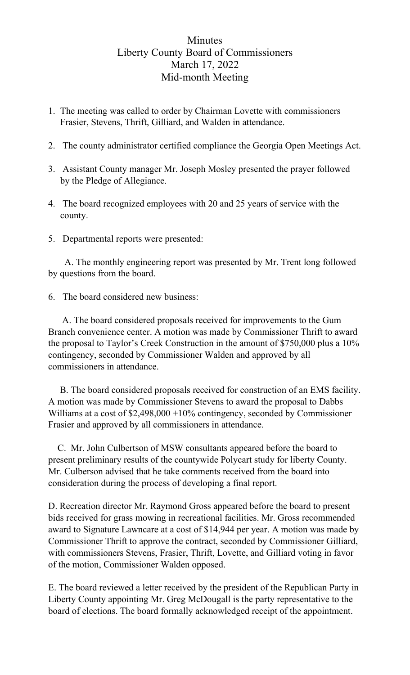## Minutes Liberty County Board of Commissioners March 17, 2022 Mid-month Meeting

- 1. The meeting was called to order by Chairman Lovette with commissioners Frasier, Stevens, Thrift, Gilliard, and Walden in attendance.
- 2. The county administrator certified compliance the Georgia Open Meetings Act.
- 3. Assistant County manager Mr. Joseph Mosley presented the prayer followed by the Pledge of Allegiance.
- 4. The board recognized employees with 20 and 25 years of service with the county.
- 5. Departmental reports were presented:

 A. The monthly engineering report was presented by Mr. Trent long followed by questions from the board.

6. The board considered new business:

 A. The board considered proposals received for improvements to the Gum Branch convenience center. A motion was made by Commissioner Thrift to award the proposal to Taylor's Creek Construction in the amount of \$750,000 plus a 10% contingency, seconded by Commissioner Walden and approved by all commissioners in attendance.

 B. The board considered proposals received for construction of an EMS facility. A motion was made by Commissioner Stevens to award the proposal to Dabbs Williams at a cost of \$2,498,000 +10% contingency, seconded by Commissioner Frasier and approved by all commissioners in attendance.

 C. Mr. John Culbertson of MSW consultants appeared before the board to present preliminary results of the countywide Polycart study for liberty County. Mr. Culberson advised that he take comments received from the board into consideration during the process of developing a final report.

D. Recreation director Mr. Raymond Gross appeared before the board to present bids received for grass mowing in recreational facilities. Mr. Gross recommended award to Signature Lawncare at a cost of \$14,944 per year. A motion was made by Commissioner Thrift to approve the contract, seconded by Commissioner Gilliard, with commissioners Stevens, Frasier, Thrift, Lovette, and Gilliard voting in favor of the motion, Commissioner Walden opposed.

E. The board reviewed a letter received by the president of the Republican Party in Liberty County appointing Mr. Greg McDougall is the party representative to the board of elections. The board formally acknowledged receipt of the appointment.